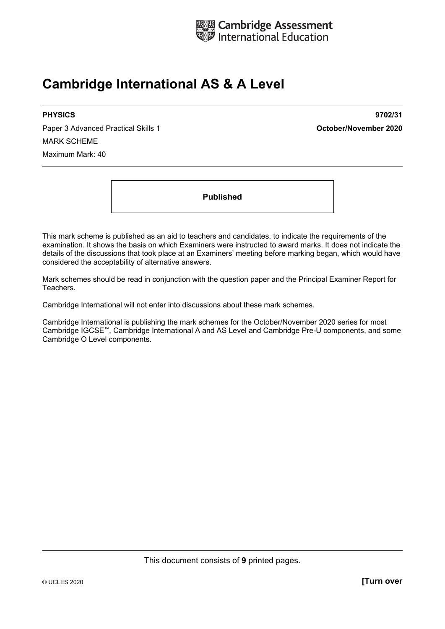

# **Cambridge International AS & A Level**

Paper 3 Advanced Practical Skills 1 **October/November 2020** MARK SCHEME Maximum Mark: 40

**PHYSICS 9702/31** 

**Published** 

This mark scheme is published as an aid to teachers and candidates, to indicate the requirements of the examination. It shows the basis on which Examiners were instructed to award marks. It does not indicate the details of the discussions that took place at an Examiners' meeting before marking began, which would have considered the acceptability of alternative answers.

Mark schemes should be read in conjunction with the question paper and the Principal Examiner Report for Teachers.

Cambridge International will not enter into discussions about these mark schemes.

Cambridge International is publishing the mark schemes for the October/November 2020 series for most Cambridge IGCSE™, Cambridge International A and AS Level and Cambridge Pre-U components, and some Cambridge O Level components.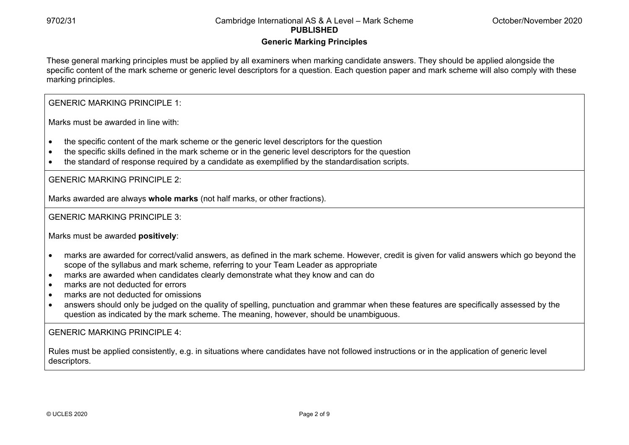#### **Generic Marking Principles**

These general marking principles must be applied by all examiners when marking candidate answers. They should be applied alongside the specific content of the mark scheme or generic level descriptors for a question. Each question paper and mark scheme will also comply with these marking principles.

GENERIC MARKING PRINCIPLE 1:

Marks must be awarded in line with:

- the specific content of the mark scheme or the generic level descriptors for the question
- the specific skills defined in the mark scheme or in the generic level descriptors for the question
- the standard of response required by a candidate as exemplified by the standardisation scripts.

GENERIC MARKING PRINCIPLE 2:

Marks awarded are always **whole marks** (not half marks, or other fractions).

GENERIC MARKING PRINCIPLE 3:

Marks must be awarded **positively**:

- marks are awarded for correct/valid answers, as defined in the mark scheme. However, credit is given for valid answers which go beyond the scope of the syllabus and mark scheme, referring to your Team Leader as appropriate
- marks are awarded when candidates clearly demonstrate what they know and can do
- marks are not deducted for errors
- marks are not deducted for omissions
- answers should only be judged on the quality of spelling, punctuation and grammar when these features are specifically assessed by the question as indicated by the mark scheme. The meaning, however, should be unambiguous.

GENERIC MARKING PRINCIPLE 4:

Rules must be applied consistently, e.g. in situations where candidates have not followed instructions or in the application of generic level descriptors.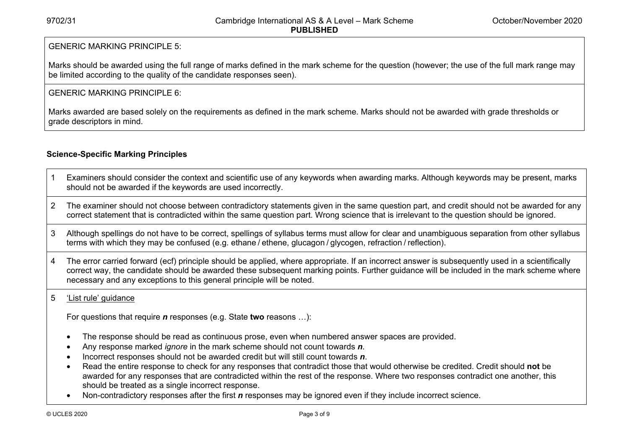#### GENERIC MARKING PRINCIPLE 5:

Marks should be awarded using the full range of marks defined in the mark scheme for the question (however; the use of the full mark range may be limited according to the quality of the candidate responses seen).

#### GENERIC MARKING PRINCIPLE 6:

Marks awarded are based solely on the requirements as defined in the mark scheme. Marks should not be awarded with grade thresholds or grade descriptors in mind.

### **Science-Specific Marking Principles**

- 1 Examiners should consider the context and scientific use of any keywords when awarding marks. Although keywords may be present, marks should not be awarded if the keywords are used incorrectly.
- 2 The examiner should not choose between contradictory statements given in the same question part, and credit should not be awarded for any correct statement that is contradicted within the same question part. Wrong science that is irrelevant to the question should be ignored.
- 3 Although spellings do not have to be correct, spellings of syllabus terms must allow for clear and unambiguous separation from other syllabus terms with which they may be confused (e.g. ethane / ethene, glucagon / glycogen, refraction / reflection).
- 4 The error carried forward (ecf) principle should be applied, where appropriate. If an incorrect answer is subsequently used in a scientifically correct way, the candidate should be awarded these subsequent marking points. Further guidance will be included in the mark scheme where necessary and any exceptions to this general principle will be noted.

#### 5 'List rule' guidance

For questions that require *<sup>n</sup>* responses (e.g. State **two** reasons …):

- The response should be read as continuous prose, even when numbered answer spaces are provided.
- Any response marked *ignore* in the mark scheme should not count towards *n*.
- Incorrect responses should not be awarded credit but will still count towards *n*.
- Read the entire response to check for any responses that contradict those that would otherwise be credited. Credit should **not** be awarded for any responses that are contradicted within the rest of the response. Where two responses contradict one another, this should be treated as a single incorrect response.
- Non-contradictory responses after the first *n* responses may be ignored even if they include incorrect science.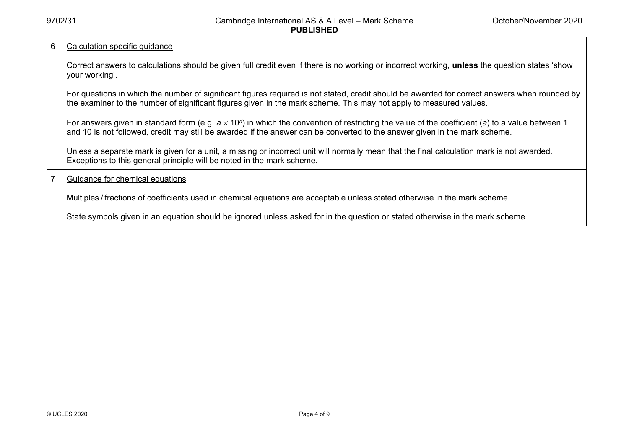#### 6 Calculation specific guidance

Correct answers to calculations should be given full credit even if there is no working or incorrect working, **unless** the question states 'show your working'.

For questions in which the number of significant figures required is not stated, credit should be awarded for correct answers when rounded by the examiner to the number of significant figures given in the mark scheme. This may not apply to measured values.

For answers given in standard form (e.g. a × 10<sup>*n*</sup>) in which the convention of restricting the value of the coefficient (a) to a value between 1 and 10 is not followed, credit may still be awarded if the answer can be converted to the answer given in the mark scheme.

Unless a separate mark is given for a unit, a missing or incorrect unit will normally mean that the final calculation mark is not awarded. Exceptions to this general principle will be noted in the mark scheme.

#### 7 Guidance for chemical equations

Multiples / fractions of coefficients used in chemical equations are acceptable unless stated otherwise in the mark scheme.

State symbols given in an equation should be ignored unless asked for in the question or stated otherwise in the mark scheme.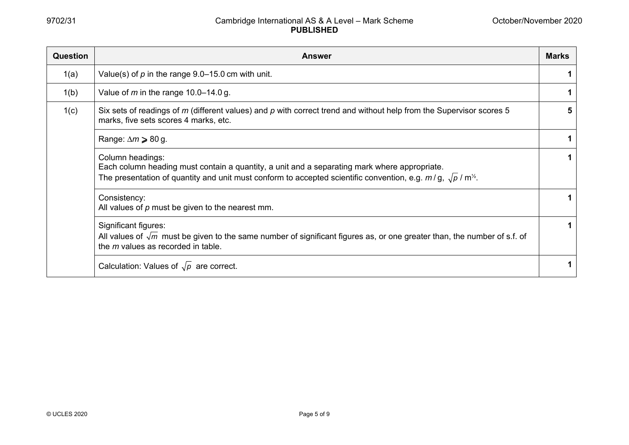| <b>Question</b> | <b>Answer</b>                                                                                                                                                                                                                           |   |
|-----------------|-----------------------------------------------------------------------------------------------------------------------------------------------------------------------------------------------------------------------------------------|---|
| 1(a)            | Value(s) of $p$ in the range 9.0–15.0 cm with unit.                                                                                                                                                                                     |   |
| 1(b)            | Value of $m$ in the range 10.0–14.0 g.                                                                                                                                                                                                  |   |
| 1(c)            | Six sets of readings of $m$ (different values) and $p$ with correct trend and without help from the Supervisor scores 5<br>marks, five sets scores 4 marks, etc.                                                                        | 5 |
|                 | Range: $\Delta m \geqslant 80$ g.                                                                                                                                                                                                       |   |
|                 | Column headings:<br>Each column heading must contain a quantity, a unit and a separating mark where appropriate.<br>The presentation of quantity and unit must conform to accepted scientific convention, e.g. $m/q$ , $\sqrt{p}/m^2$ . |   |
|                 | Consistency:<br>All values of $p$ must be given to the nearest mm.                                                                                                                                                                      |   |
|                 | Significant figures:<br>All values of $\sqrt{m}$ must be given to the same number of significant figures as, or one greater than, the number of s.f. of<br>the $m$ values as recorded in table.                                         | 1 |
|                 | Calculation: Values of $\sqrt{\rho}$ are correct.                                                                                                                                                                                       |   |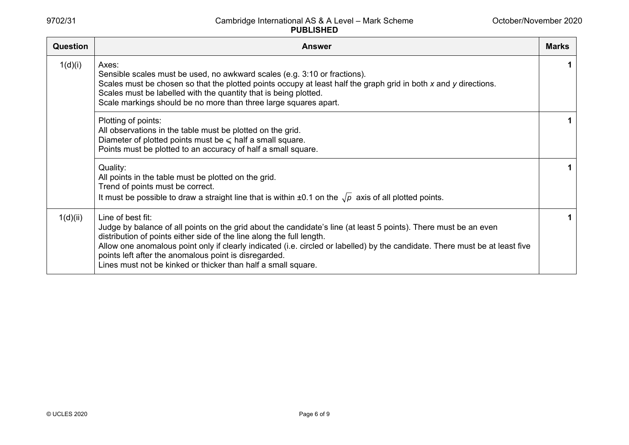| Question | <b>Answer</b>                                                                                                                                                                                                                                                                                                                                                                                                                                                            | <b>Marks</b> |
|----------|--------------------------------------------------------------------------------------------------------------------------------------------------------------------------------------------------------------------------------------------------------------------------------------------------------------------------------------------------------------------------------------------------------------------------------------------------------------------------|--------------|
| 1(d)(i)  | Axes:<br>Sensible scales must be used, no awkward scales (e.g. 3:10 or fractions).<br>Scales must be chosen so that the plotted points occupy at least half the graph grid in both x and y directions.<br>Scales must be labelled with the quantity that is being plotted.<br>Scale markings should be no more than three large squares apart.                                                                                                                           |              |
|          | Plotting of points:<br>All observations in the table must be plotted on the grid.<br>Diameter of plotted points must be $\leq$ half a small square.<br>Points must be plotted to an accuracy of half a small square.                                                                                                                                                                                                                                                     |              |
|          | Quality:<br>All points in the table must be plotted on the grid.<br>Trend of points must be correct.<br>It must be possible to draw a straight line that is within $\pm 0.1$ on the $\sqrt{p}$ axis of all plotted points.                                                                                                                                                                                                                                               |              |
| 1(d)(ii) | Line of best fit:<br>Judge by balance of all points on the grid about the candidate's line (at least 5 points). There must be an even<br>distribution of points either side of the line along the full length.<br>Allow one anomalous point only if clearly indicated (i.e. circled or labelled) by the candidate. There must be at least five<br>points left after the anomalous point is disregarded.<br>Lines must not be kinked or thicker than half a small square. |              |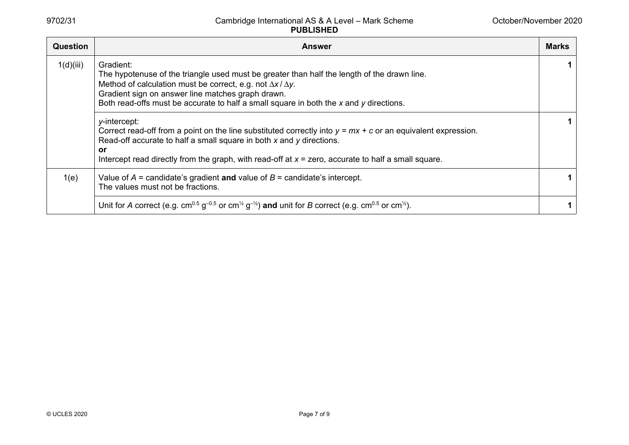| <b>Question</b> | <b>Answer</b>                                                                                                                                                                                                                                                                                                                                                                                                                                                                                                                                                                                                                                                      | <b>Marks</b> |
|-----------------|--------------------------------------------------------------------------------------------------------------------------------------------------------------------------------------------------------------------------------------------------------------------------------------------------------------------------------------------------------------------------------------------------------------------------------------------------------------------------------------------------------------------------------------------------------------------------------------------------------------------------------------------------------------------|--------------|
| 1(d)(iii)       | Gradient:<br>The hypotenuse of the triangle used must be greater than half the length of the drawn line.<br>Method of calculation must be correct, e.g. not $\Delta x / \Delta y$ .<br>Gradient sign on answer line matches graph drawn.<br>Both read-offs must be accurate to half a small square in both the x and y directions.<br>y-intercept:<br>Correct read-off from a point on the line substituted correctly into $y = mx + c$ or an equivalent expression.<br>Read-off accurate to half a small square in both x and y directions.<br><b>or</b><br>Intercept read directly from the graph, with read-off at $x =$ zero, accurate to half a small square. | 1<br>1.      |
| 1(e)            | Value of $A =$ candidate's gradient and value of $B =$ candidate's intercept.<br>The values must not be fractions.                                                                                                                                                                                                                                                                                                                                                                                                                                                                                                                                                 | 1.           |
|                 | Unit for A correct (e.g. cm <sup>0.5</sup> g <sup>-0.5</sup> or cm <sup>1/2</sup> g <sup>-1/2</sup> ) and unit for B correct (e.g. cm <sup>0.5</sup> or cm <sup>1/2</sup> ).                                                                                                                                                                                                                                                                                                                                                                                                                                                                                       |              |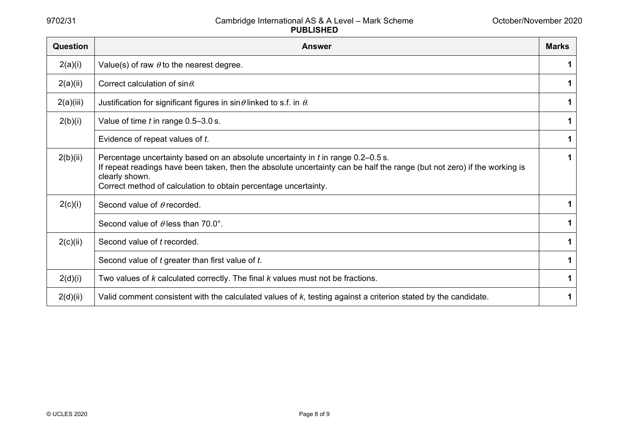| <b>Question</b> | <b>Answer</b>                                                                                                                                                                                                                                                                                     | <b>Marks</b> |
|-----------------|---------------------------------------------------------------------------------------------------------------------------------------------------------------------------------------------------------------------------------------------------------------------------------------------------|--------------|
| 2(a)(i)         | Value(s) of raw $\theta$ to the nearest degree.                                                                                                                                                                                                                                                   | 1            |
| 2(a)(ii)        | Correct calculation of $sin \theta$ .                                                                                                                                                                                                                                                             | 1            |
| 2(a)(iii)       | Justification for significant figures in $sin\theta$ linked to s.f. in $\theta$ .                                                                                                                                                                                                                 | 1            |
| 2(b)(i)         | Value of time $t$ in range $0.5-3.0$ s.                                                                                                                                                                                                                                                           | 1            |
|                 | Evidence of repeat values of t.                                                                                                                                                                                                                                                                   | 1            |
| 2(b)(ii)        | Percentage uncertainty based on an absolute uncertainty in t in range 0.2–0.5 s.<br>If repeat readings have been taken, then the absolute uncertainty can be half the range (but not zero) if the working is<br>clearly shown.<br>Correct method of calculation to obtain percentage uncertainty. | 1            |
| 2(c)(i)         | Second value of $\theta$ recorded.                                                                                                                                                                                                                                                                | 1            |
|                 | Second value of $\theta$ less than 70.0°.                                                                                                                                                                                                                                                         | 1            |
| 2(c)(ii)        | Second value of t recorded.                                                                                                                                                                                                                                                                       | 1            |
|                 | Second value of t greater than first value of t.                                                                                                                                                                                                                                                  | 1            |
| 2(d)(i)         | Two values of k calculated correctly. The final k values must not be fractions.                                                                                                                                                                                                                   | 1            |
| 2(d)(ii)        | Valid comment consistent with the calculated values of k, testing against a criterion stated by the candidate.                                                                                                                                                                                    | 1            |